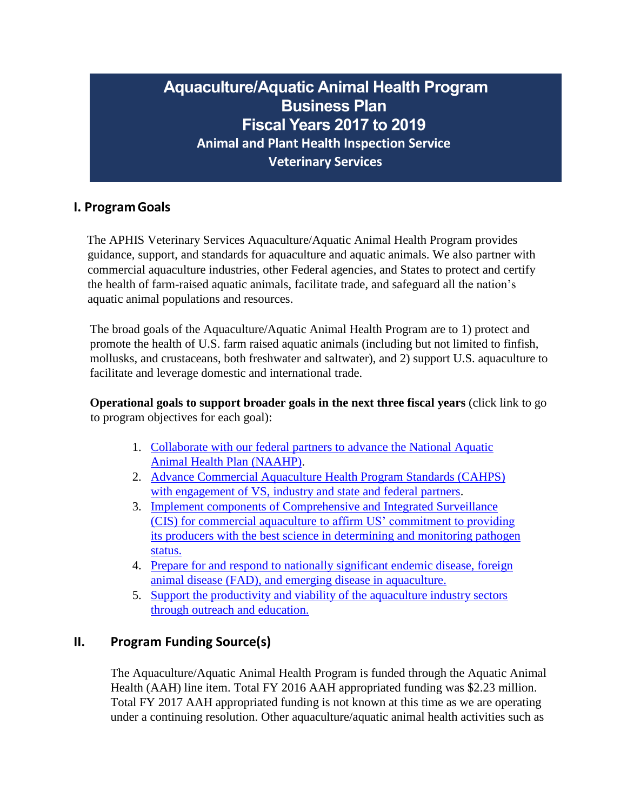# **Aquaculture/Aquatic Animal Health Program Business Plan Fiscal Years 2017 to 2019 Animal and Plant Health Inspection Service Veterinary Services**

## **I. ProgramGoals**

The APHIS Veterinary Services Aquaculture/Aquatic Animal Health Program provides guidance, support, and standards for aquaculture and aquatic animals. We also partner with commercial aquaculture industries, other Federal agencies, and States to protect and certify the health of farm-raised aquatic animals, facilitate trade, and safeguard all the nation's aquatic animal populations and resources.

The broad goals of the Aquaculture/Aquatic Animal Health Program are to 1) protect and promote the health of U.S. farm raised aquatic animals (including but not limited to finfish, mollusks, and crustaceans, both freshwater and saltwater), and 2) support U.S. aquaculture to facilitate and leverage domestic and international trade.

**Operational goals to support broader goals in the next three fiscal years** (click link to go to program objectives for each goal):

- 1. [Collaborate with our federal partners to advance the National Aquatic](#page-6-0)  [Animal Health Plan \(NAAHP\).](#page-6-0)
- 2. [Advance Commercial Aquaculture Health Program Standards \(CAHPS\)](#page-7-0)  [with engagement of VS, industry and state and federal partners.](#page-7-0)
- 3. [Implement components of Comprehensive and Integrated Surveillance](#page-9-0)  (CIS) for commercial aquaculture [to affirm US' commitment to providing](#page-9-0)  [its producers with the best science in determining and monitoring pathogen](#page-9-0)  [status.](#page-9-0)
- 4. [Prepare for and respond to nationally significant endemic disease, foreign](#page-11-0)  animal disease [\(FAD\), and emerging disease in aquaculture.](#page-11-0)
- 5. [Support the productivity and viability of the aquaculture industry sectors](#page-13-0) [through outreach and education.](#page-13-0)

## **II. Program Funding Source(s)**

The Aquaculture/Aquatic Animal Health Program is funded through the Aquatic Animal Health (AAH) line item. Total FY 2016 AAH appropriated funding was \$2.23 million. Total FY 2017 AAH appropriated funding is not known at this time as we are operating under a continuing resolution. Other aquaculture/aquatic animal health activities such as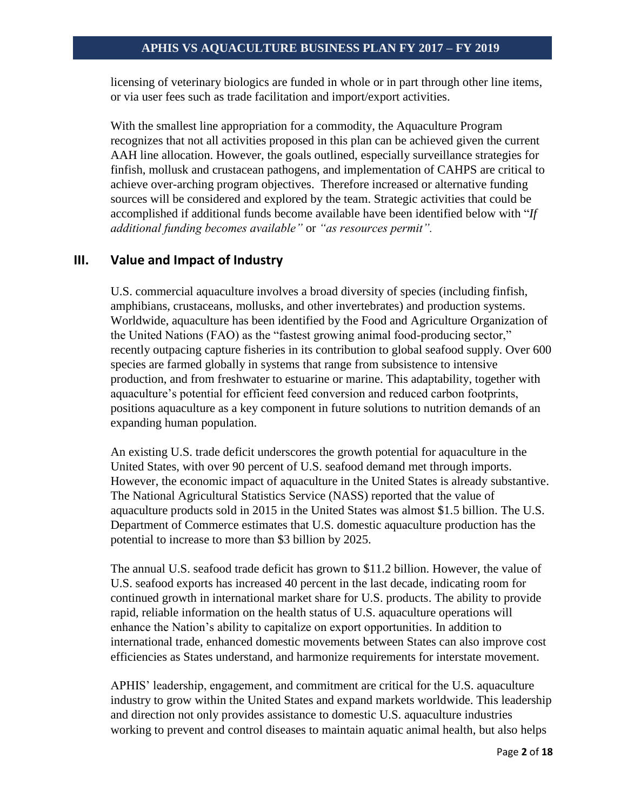licensing of veterinary biologics are funded in whole or in part through other line items, or via user fees such as trade facilitation and import/export activities.

With the smallest line appropriation for a commodity, the Aquaculture Program recognizes that not all activities proposed in this plan can be achieved given the current AAH line allocation. However, the goals outlined, especially surveillance strategies for finfish, mollusk and crustacean pathogens, and implementation of CAHPS are critical to achieve over-arching program objectives. Therefore increased or alternative funding sources will be considered and explored by the team. Strategic activities that could be accomplished if additional funds become available have been identified below with "*If additional funding becomes available"* or *"as resources permit".*

### **III. Value and Impact of Industry**

U.S. commercial aquaculture involves a broad diversity of species (including finfish, amphibians, crustaceans, mollusks, and other invertebrates) and production systems. Worldwide, aquaculture has been identified by the Food and Agriculture Organization of the United Nations (FAO) as the "fastest growing animal food-producing sector," recently outpacing capture fisheries in its contribution to global seafood supply. Over 600 species are farmed globally in systems that range from subsistence to intensive production, and from freshwater to estuarine or marine. This adaptability, together with aquaculture's potential for efficient feed conversion and reduced carbon footprints, positions aquaculture as a key component in future solutions to nutrition demands of an expanding human population.

An existing U.S. trade deficit underscores the growth potential for aquaculture in the United States, with over 90 percent of U.S. seafood demand met through imports. However, the economic impact of aquaculture in the United States is already substantive. The National Agricultural Statistics Service (NASS) reported that the value of aquaculture products sold in 2015 in the United States was almost \$1.5 billion. The U.S. Department of Commerce estimates that U.S. domestic aquaculture production has the potential to increase to more than \$3 billion by 2025.

The annual U.S. seafood trade deficit has grown to \$11.2 billion. However, the value of U.S. seafood exports has increased 40 percent in the last decade, indicating room for continued growth in international market share for U.S. products. The ability to provide rapid, reliable information on the health status of U.S. aquaculture operations will enhance the Nation's ability to capitalize on export opportunities. In addition to international trade, enhanced domestic movements between States can also improve cost efficiencies as States understand, and harmonize requirements for interstate movement.

APHIS' leadership, engagement, and commitment are critical for the U.S. aquaculture industry to grow within the United States and expand markets worldwide. This leadership and direction not only provides assistance to domestic U.S. aquaculture industries working to prevent and control diseases to maintain aquatic animal health, but also helps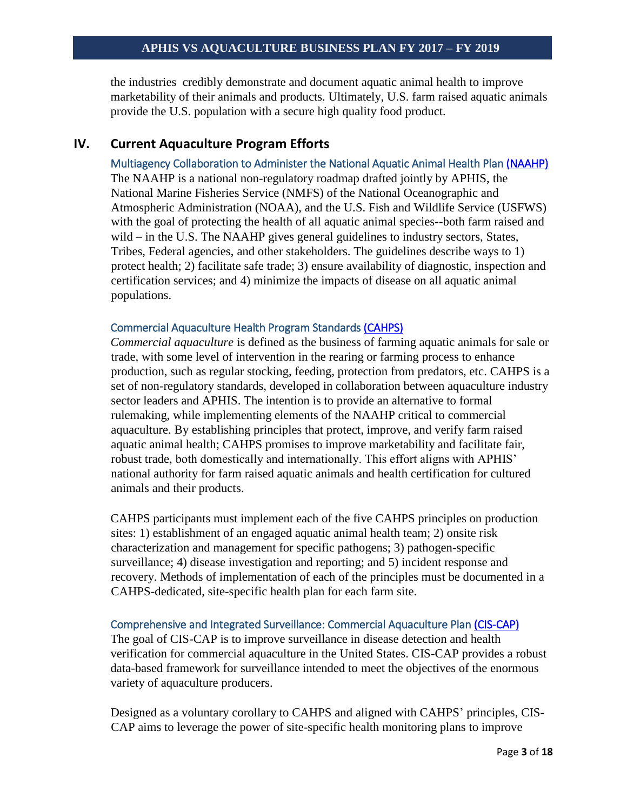the industries credibly demonstrate and document aquatic animal health to improve marketability of their animals and products. Ultimately, U.S. farm raised aquatic animals provide the U.S. population with a secure high quality food product.

### <span id="page-2-0"></span>**IV. Current Aquaculture Program Efforts**

Multiagency Collaboration to Administer the National Aquatic Animal Health Pla[n \(NAAHP\)](#page-6-0)  The NAAHP is a national non-regulatory roadmap drafted jointly by APHIS, the National Marine Fisheries Service (NMFS) of the National Oceanographic and Atmospheric Administration (NOAA), and the U.S. Fish and Wildlife Service (USFWS) with the goal of protecting the health of all aquatic animal species--both farm raised and wild – in the U.S. The NAAHP gives general guidelines to industry sectors, States, Tribes, Federal agencies, and other stakeholders. The guidelines describe ways to 1) protect health; 2) facilitate safe trade; 3) ensure availability of diagnostic, inspection and certification services; and 4) minimize the impacts of disease on all aquatic animal populations.

#### <span id="page-2-1"></span>Commercial Aquaculture Health Program Standards [\(CAHPS\)](#page-7-0)

*Commercial aquaculture* is defined as the business of farming aquatic animals for sale or trade, with some level of intervention in the rearing or farming process to enhance production, such as regular stocking, feeding, protection from predators, etc. CAHPS is a set of non-regulatory standards, developed in collaboration between aquaculture industry sector leaders and APHIS. The intention is to provide an alternative to formal rulemaking, while implementing elements of the NAAHP critical to commercial aquaculture. By establishing principles that protect, improve, and verify farm raised aquatic animal health; CAHPS promises to improve marketability and facilitate fair, robust trade, both domestically and internationally. This effort aligns with APHIS' national authority for farm raised aquatic animals and health certification for cultured animals and their products.

CAHPS participants must implement each of the five CAHPS principles on production sites: 1) establishment of an engaged aquatic animal health team; 2) onsite risk characterization and management for specific pathogens; 3) pathogen-specific surveillance; 4) disease investigation and reporting; and 5) incident response and recovery. Methods of implementation of each of the principles must be documented in a CAHPS-dedicated, site-specific health plan for each farm site.

### <span id="page-2-2"></span>Comprehensive and Integrated Surveillance: Commercial Aquaculture Plan [\(CIS-CAP\)](#page-9-0)

The goal of CIS-CAP is to improve surveillance in disease detection and health verification for commercial aquaculture in the United States. CIS-CAP provides a robust data-based framework for surveillance intended to meet the objectives of the enormous variety of aquaculture producers.

Designed as a voluntary corollary to CAHPS and aligned with CAHPS' principles, CIS-CAP aims to leverage the power of site-specific health monitoring plans to improve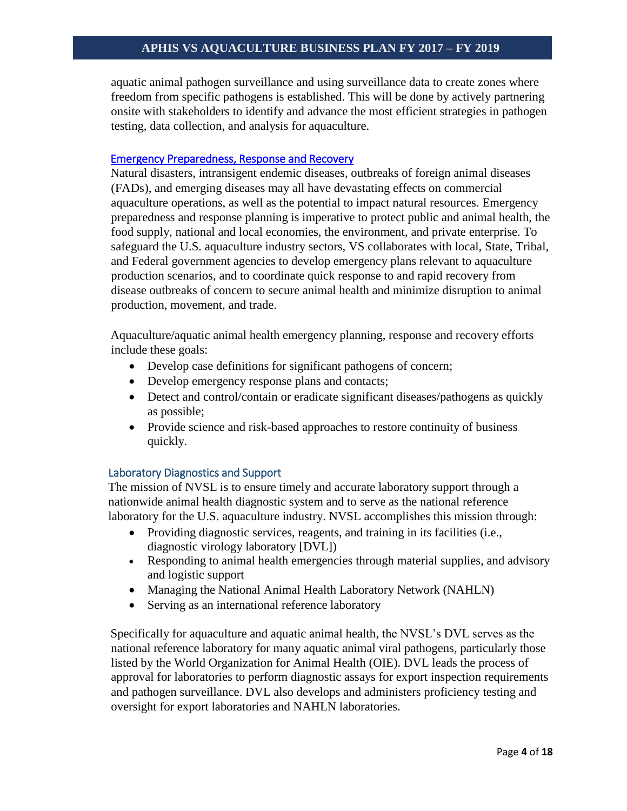aquatic animal pathogen surveillance and using surveillance data to create zones where freedom from specific pathogens is established. This will be done by actively partnering onsite with stakeholders to identify and advance the most efficient strategies in pathogen testing, data collection, and analysis for aquaculture.

#### <span id="page-3-0"></span>[Emergency Preparedness, Response and Recovery](#page-11-0)

Natural disasters, intransigent endemic diseases, outbreaks of foreign animal diseases (FADs), and emerging diseases may all have devastating effects on commercial aquaculture operations, as well as the potential to impact natural resources. Emergency preparedness and response planning is imperative to protect public and animal health, the food supply, national and local economies, the environment, and private enterprise. To safeguard the U.S. aquaculture industry sectors, VS collaborates with local, State, Tribal, and Federal government agencies to develop emergency plans relevant to aquaculture production scenarios, and to coordinate quick response to and rapid recovery from disease outbreaks of concern to secure animal health and minimize disruption to animal production, movement, and trade.

Aquaculture/aquatic animal health emergency planning, response and recovery efforts include these goals:

- Develop case definitions for significant pathogens of concern;
- Develop emergency response plans and contacts;
- Detect and control/contain or eradicate significant diseases/pathogens as quickly as possible;
- Provide science and risk-based approaches to restore continuity of business quickly.

#### Laboratory Diagnostics and Support

The mission of NVSL is to ensure timely and accurate laboratory support through a nationwide animal health diagnostic system and to serve as the national reference laboratory for the U.S. aquaculture industry. NVSL accomplishes this mission through:

- Providing diagnostic services, reagents, and training in its facilities (i.e., diagnostic virology laboratory [DVL])
- Responding to animal health emergencies through material supplies, and advisory and logistic support
- Managing the National Animal Health Laboratory Network (NAHLN)
- Serving as an international reference laboratory

Specifically for aquaculture and aquatic animal health, the NVSL's DVL serves as the national reference laboratory for many aquatic animal viral pathogens, particularly those listed by the World Organization for Animal Health (OIE). DVL leads the process of approval for laboratories to perform diagnostic assays for export inspection requirements and pathogen surveillance. DVL also develops and administers proficiency testing and oversight for export laboratories and NAHLN laboratories.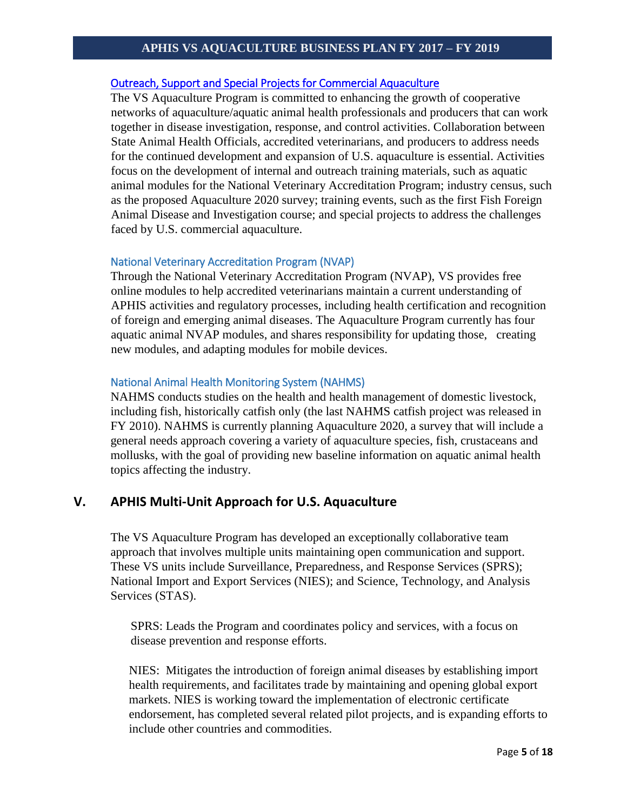#### <span id="page-4-0"></span>[Outreach, Support and Special Projects for Commercial Aquaculture](#page-13-0)

The VS Aquaculture Program is committed to enhancing the growth of cooperative networks of aquaculture/aquatic animal health professionals and producers that can work together in disease investigation, response, and control activities. Collaboration between State Animal Health Officials, accredited veterinarians, and producers to address needs for the continued development and expansion of U.S. aquaculture is essential. Activities focus on the development of internal and outreach training materials, such as aquatic animal modules for the National Veterinary Accreditation Program; industry census, such as the proposed Aquaculture 2020 survey; training events, such as the first Fish Foreign Animal Disease and Investigation course; and special projects to address the challenges faced by U.S. commercial aquaculture.

#### <span id="page-4-1"></span>National Veterinary Accreditation Program (NVAP)

Through the National Veterinary Accreditation Program (NVAP), VS provides free online modules to help accredited veterinarians maintain a current understanding of APHIS activities and regulatory processes, including health certification and recognition of foreign and emerging animal diseases. The Aquaculture Program currently has four aquatic animal NVAP modules, and shares responsibility for updating those, creating new modules, and adapting modules for mobile devices.

#### National Animal Health Monitoring System (NAHMS)

NAHMS conducts studies on the health and health management of domestic livestock, including fish, historically catfish only (the last NAHMS catfish project was released in FY 2010). NAHMS is currently planning Aquaculture 2020, a survey that will include a general needs approach covering a variety of aquaculture species, fish, crustaceans and mollusks, with the goal of providing new baseline information on aquatic animal health topics affecting the industry.

### **V. APHIS Multi-Unit Approach for U.S. Aquaculture**

The VS Aquaculture Program has developed an exceptionally collaborative team approach that involves multiple units maintaining open communication and support. These VS units include Surveillance, Preparedness, and Response Services (SPRS); National Import and Export Services (NIES); and Science, Technology, and Analysis Services (STAS).

SPRS: Leads the Program and coordinates policy and services, with a focus on disease prevention and response efforts.

NIES: Mitigates the introduction of foreign animal diseases by establishing import health requirements, and facilitates trade by maintaining and opening global export markets. NIES is working toward the implementation of electronic certificate endorsement, has completed several related pilot projects, and is expanding efforts to include other countries and commodities.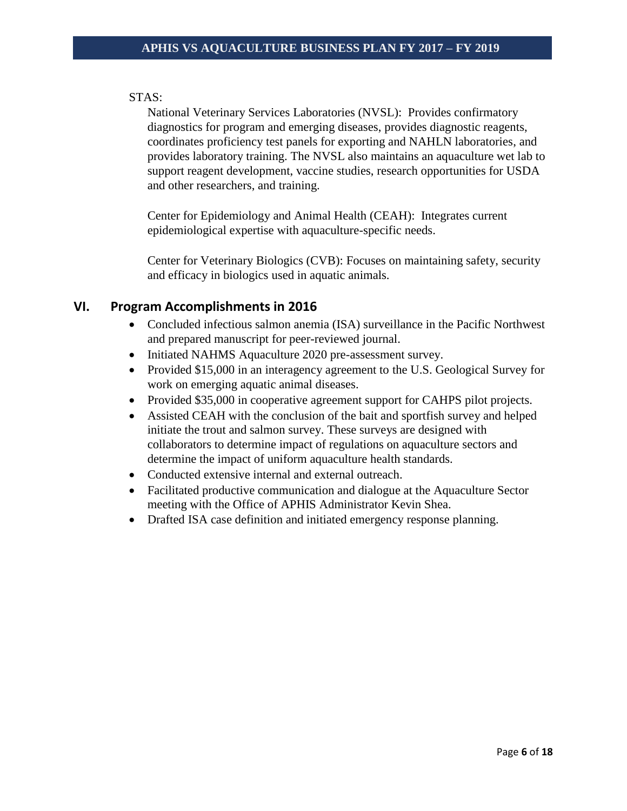### STAS:

National Veterinary Services Laboratories (NVSL): Provides confirmatory diagnostics for program and emerging diseases, provides diagnostic reagents, coordinates proficiency test panels for exporting and NAHLN laboratories, and provides laboratory training. The NVSL also maintains an aquaculture wet lab to support reagent development, vaccine studies, research opportunities for USDA and other researchers, and training.

Center for Epidemiology and Animal Health (CEAH): Integrates current epidemiological expertise with aquaculture-specific needs.

Center for Veterinary Biologics (CVB): Focuses on maintaining safety, security and efficacy in biologics used in aquatic animals.

### **VI. Program Accomplishments in 2016**

- Concluded infectious salmon anemia (ISA) surveillance in the Pacific Northwest and prepared manuscript for peer-reviewed journal.
- Initiated NAHMS Aquaculture 2020 pre-assessment survey.
- Provided \$15,000 in an interagency agreement to the U.S. Geological Survey for work on emerging aquatic animal diseases.
- Provided \$35,000 in cooperative agreement support for CAHPS pilot projects.
- Assisted CEAH with the conclusion of the bait and sportfish survey and helped initiate the trout and salmon survey. These surveys are designed with collaborators to determine impact of regulations on aquaculture sectors and determine the impact of uniform aquaculture health standards.
- Conducted extensive internal and external outreach.
- Facilitated productive communication and dialogue at the Aquaculture Sector meeting with the Office of APHIS Administrator Kevin Shea.
- Drafted ISA case definition and initiated emergency response planning.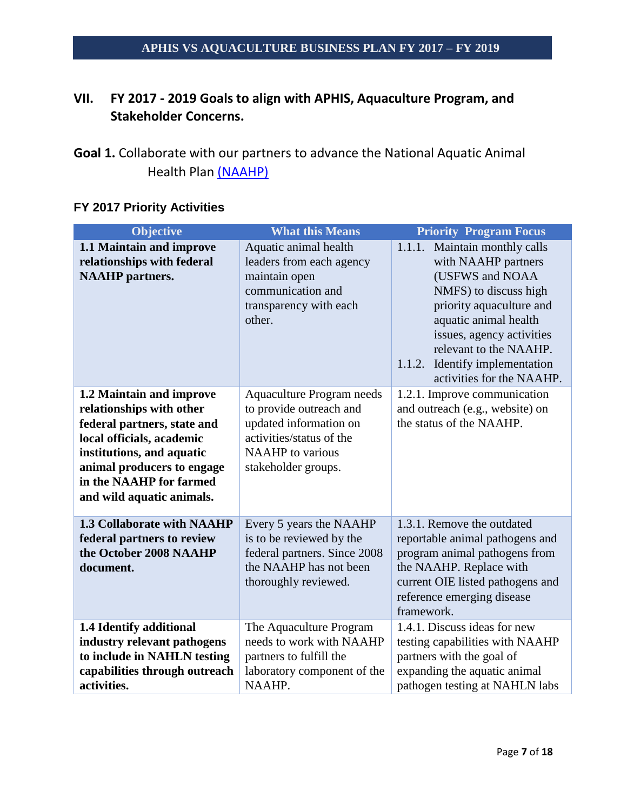## **VII. FY 2017 - 2019 Goals to align with APHIS, Aquaculture Program, and Stakeholder Concerns.**

| <b>Objective</b>                                                                                                                                                                                                                    | <b>What this Means</b>                                                                                                                                              | <b>Priority Program Focus</b>                                                                                                                                                                                                                                                  |
|-------------------------------------------------------------------------------------------------------------------------------------------------------------------------------------------------------------------------------------|---------------------------------------------------------------------------------------------------------------------------------------------------------------------|--------------------------------------------------------------------------------------------------------------------------------------------------------------------------------------------------------------------------------------------------------------------------------|
| 1.1 Maintain and improve<br>relationships with federal<br><b>NAAHP</b> partners.                                                                                                                                                    | Aquatic animal health<br>leaders from each agency<br>maintain open<br>communication and<br>transparency with each<br>other.                                         | 1.1.1. Maintain monthly calls<br>with NAAHP partners<br>(USFWS and NOAA<br>NMFS) to discuss high<br>priority aquaculture and<br>aquatic animal health<br>issues, agency activities<br>relevant to the NAAHP.<br>Identify implementation<br>1.1.2.<br>activities for the NAAHP. |
| 1.2 Maintain and improve<br>relationships with other<br>federal partners, state and<br>local officials, academic<br>institutions, and aquatic<br>animal producers to engage<br>in the NAAHP for farmed<br>and wild aquatic animals. | <b>Aquaculture Program needs</b><br>to provide outreach and<br>updated information on<br>activities/status of the<br><b>NAAHP</b> to various<br>stakeholder groups. | 1.2.1. Improve communication<br>and outreach (e.g., website) on<br>the status of the NAAHP.                                                                                                                                                                                    |
| <b>1.3 Collaborate with NAAHP</b><br>federal partners to review<br>the October 2008 NAAHP<br>document.                                                                                                                              | Every 5 years the NAAHP<br>is to be reviewed by the<br>federal partners. Since 2008<br>the NAAHP has not been<br>thoroughly reviewed.                               | 1.3.1. Remove the outdated<br>reportable animal pathogens and<br>program animal pathogens from<br>the NAAHP. Replace with<br>current OIE listed pathogens and<br>reference emerging disease<br>framework.                                                                      |
| 1.4 Identify additional<br>industry relevant pathogens<br>to include in NAHLN testing<br>capabilities through outreach<br>activities.                                                                                               | The Aquaculture Program<br>needs to work with NAAHP<br>partners to fulfill the<br>laboratory component of the<br>NAAHP.                                             | 1.4.1. Discuss ideas for new<br>testing capabilities with NAAHP<br>partners with the goal of<br>expanding the aquatic animal<br>pathogen testing at NAHLN labs                                                                                                                 |

### **FY 2017 Priority Activities**

<span id="page-6-0"></span>**Goal 1.** Collaborate with our partners to advance the National Aquatic Animal Health Plan [\(NAAHP\)](#page-2-0)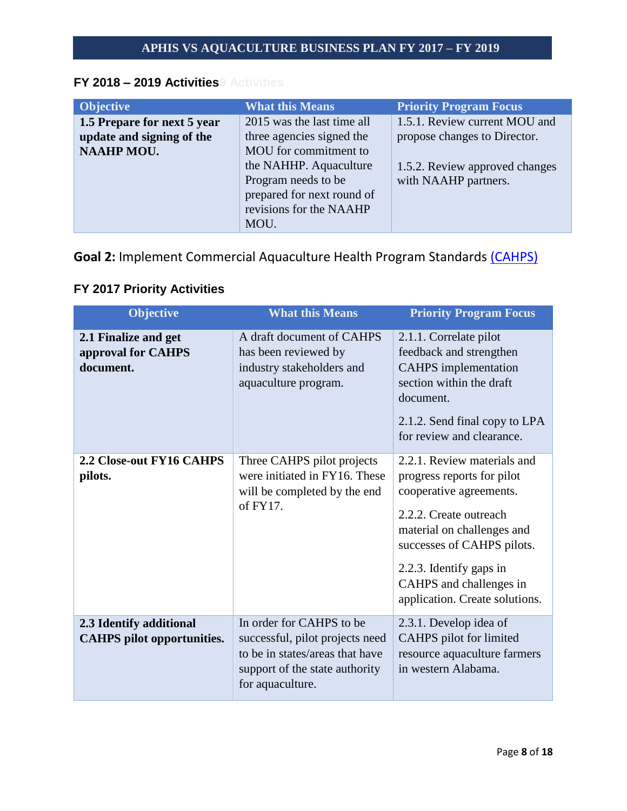### **FY 2018 – 2019 Activities9 Activities**

| <b>Objective</b>            | <b>What this Means</b>     | <b>Priority Program Focus</b>  |
|-----------------------------|----------------------------|--------------------------------|
| 1.5 Prepare for next 5 year | 2015 was the last time all | 1.5.1. Review current MOU and  |
| update and signing of the   | three agencies signed the  | propose changes to Director.   |
| <b>NAAHP MOU.</b>           | MOU for commitment to      |                                |
|                             | the NAHHP. Aquaculture     | 1.5.2. Review approved changes |
|                             | Program needs to be        | with NAAHP partners.           |
|                             | prepared for next round of |                                |
|                             | revisions for the NAAHP    |                                |
|                             | MOU.                       |                                |

<span id="page-7-0"></span>**Goal 2:** Implement Commercial Aquaculture Health Program Standards [\(CAHPS\)](#page-2-1)

## **FY 2017 Priority Activities**

| <b>Objective</b>                                             | <b>What this Means</b>                                                                                                                               | <b>Priority Program Focus</b>                                                                                                                                                                                                                                      |
|--------------------------------------------------------------|------------------------------------------------------------------------------------------------------------------------------------------------------|--------------------------------------------------------------------------------------------------------------------------------------------------------------------------------------------------------------------------------------------------------------------|
| 2.1 Finalize and get<br>approval for CAHPS<br>document.      | A draft document of CAHPS<br>has been reviewed by<br>industry stakeholders and<br>aquaculture program.                                               | 2.1.1. Correlate pilot<br>feedback and strengthen<br><b>CAHPS</b> implementation<br>section within the draft<br>document.<br>2.1.2. Send final copy to LPA<br>for review and clearance.                                                                            |
| 2.2 Close-out FY16 CAHPS<br>pilots.                          | Three CAHPS pilot projects<br>were initiated in FY16. These<br>will be completed by the end<br>of $FY17$ .                                           | 2.2.1. Review materials and<br>progress reports for pilot<br>cooperative agreements.<br>2.2.2. Create outreach<br>material on challenges and<br>successes of CAHPS pilots.<br>2.2.3. Identify gaps in<br>CAHPS and challenges in<br>application. Create solutions. |
| 2.3 Identify additional<br><b>CAHPS</b> pilot opportunities. | In order for CAHPS to be<br>successful, pilot projects need<br>to be in states/areas that have<br>support of the state authority<br>for aquaculture. | 2.3.1. Develop idea of<br>CAHPS pilot for limited<br>resource aquaculture farmers<br>in western Alabama.                                                                                                                                                           |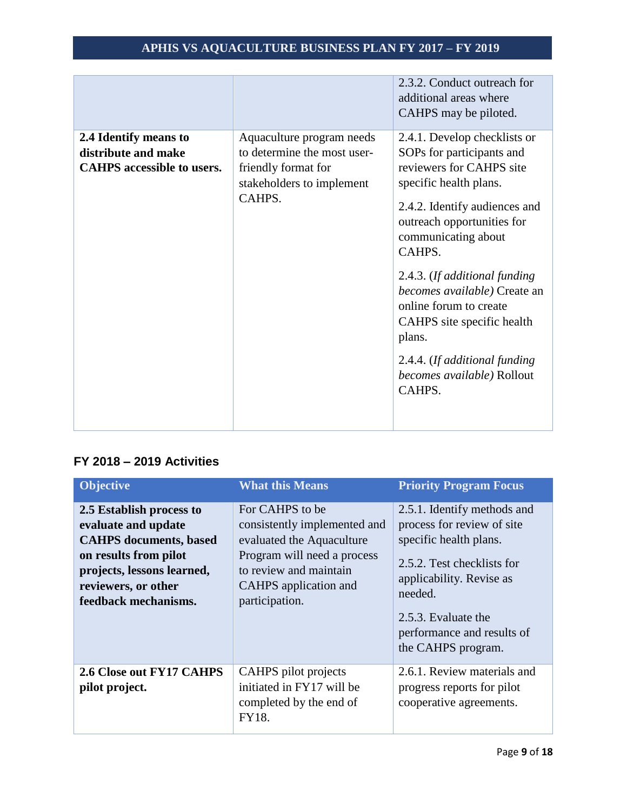|                                                                                   |                                                                                                                        | 2.3.2. Conduct outreach for<br>additional areas where<br>CAHPS may be piloted.                                                                                                                                                                                                                                                                                                                                              |
|-----------------------------------------------------------------------------------|------------------------------------------------------------------------------------------------------------------------|-----------------------------------------------------------------------------------------------------------------------------------------------------------------------------------------------------------------------------------------------------------------------------------------------------------------------------------------------------------------------------------------------------------------------------|
| 2.4 Identify means to<br>distribute and make<br><b>CAHPS</b> accessible to users. | Aquaculture program needs<br>to determine the most user-<br>friendly format for<br>stakeholders to implement<br>CAHPS. | 2.4.1. Develop checklists or<br>SOPs for participants and<br>reviewers for CAHPS site<br>specific health plans.<br>2.4.2. Identify audiences and<br>outreach opportunities for<br>communicating about<br>CAHPS.<br>2.4.3. (If additional funding<br>becomes available) Create an<br>online forum to create<br>CAHPS site specific health<br>plans.<br>2.4.4. (If additional funding<br>becomes available) Rollout<br>CAHPS. |

## **FY 2018 – 2019 Activities**

| <b>Objective</b>                                                                                                                                                                       | <b>What this Means</b>                                                                                                                                                           | <b>Priority Program Focus</b>                                                                                                                                                                                                       |
|----------------------------------------------------------------------------------------------------------------------------------------------------------------------------------------|----------------------------------------------------------------------------------------------------------------------------------------------------------------------------------|-------------------------------------------------------------------------------------------------------------------------------------------------------------------------------------------------------------------------------------|
| 2.5 Establish process to<br>evaluate and update<br><b>CAHPS</b> documents, based<br>on results from pilot<br>projects, lessons learned,<br>reviewers, or other<br>feedback mechanisms. | For CAHPS to be<br>consistently implemented and<br>evaluated the Aquaculture<br>Program will need a process<br>to review and maintain<br>CAHPS application and<br>participation. | 2.5.1. Identify methods and<br>process for review of site<br>specific health plans.<br>2.5.2. Test checklists for<br>applicability. Revise as<br>needed.<br>2.5.3. Evaluate the<br>performance and results of<br>the CAHPS program. |
| 2.6 Close out FY17 CAHPS<br>pilot project.                                                                                                                                             | CAHPS pilot projects<br>initiated in FY17 will be<br>completed by the end of<br>FY18.                                                                                            | 2.6.1. Review materials and<br>progress reports for pilot<br>cooperative agreements.                                                                                                                                                |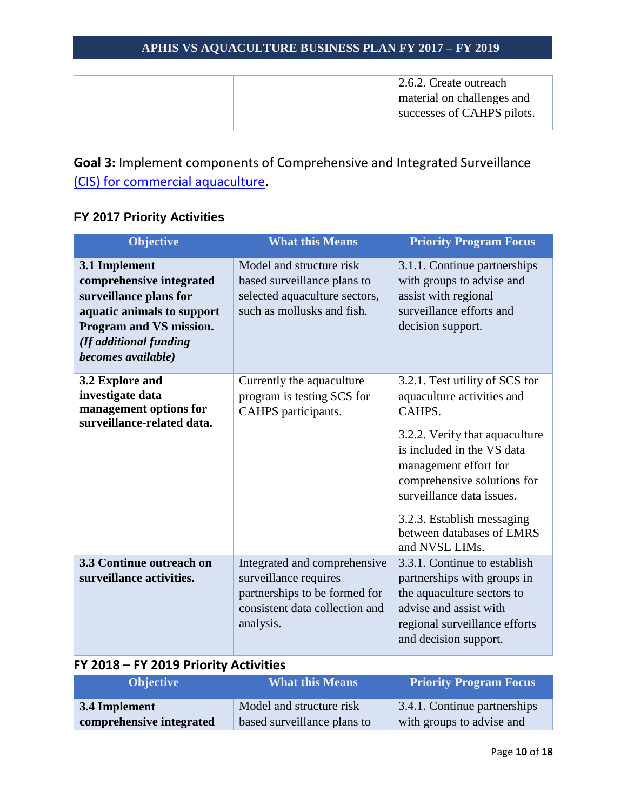|  | 2.6.2. Create outreach     |
|--|----------------------------|
|  | material on challenges and |
|  | successes of CAHPS pilots. |
|  |                            |

<span id="page-9-0"></span>**Goal 3:** Implement components of Comprehensive and Integrated Surveillance [\(CIS\) for commercial aquaculture](#page-2-2)**.**

## **FY 2017 Priority Activities**

| Objective                                                                                                                                                                    | <b>What this Means</b>                                                                                                                | <b>Priority Program Focus</b>                                                                                                                                                                                                                                                                            |
|------------------------------------------------------------------------------------------------------------------------------------------------------------------------------|---------------------------------------------------------------------------------------------------------------------------------------|----------------------------------------------------------------------------------------------------------------------------------------------------------------------------------------------------------------------------------------------------------------------------------------------------------|
| 3.1 Implement<br>comprehensive integrated<br>surveillance plans for<br>aquatic animals to support<br>Program and VS mission.<br>(If additional funding<br>becomes available) | Model and structure risk<br>based surveillance plans to<br>selected aquaculture sectors,<br>such as mollusks and fish.                | 3.1.1. Continue partnerships<br>with groups to advise and<br>assist with regional<br>surveillance efforts and<br>decision support.                                                                                                                                                                       |
| 3.2 Explore and<br>investigate data<br>management options for<br>surveillance-related data.                                                                                  | Currently the aquaculture<br>program is testing SCS for<br>CAHPS participants.                                                        | 3.2.1. Test utility of SCS for<br>aquaculture activities and<br>CAHPS.<br>3.2.2. Verify that aquaculture<br>is included in the VS data<br>management effort for<br>comprehensive solutions for<br>surveillance data issues.<br>3.2.3. Establish messaging<br>between databases of EMRS<br>and NVSL LIMs. |
| 3.3 Continue outreach on<br>surveillance activities.                                                                                                                         | Integrated and comprehensive<br>surveillance requires<br>partnerships to be formed for<br>consistent data collection and<br>analysis. | 3.3.1. Continue to establish<br>partnerships with groups in<br>the aquaculture sectors to<br>advise and assist with<br>regional surveillance efforts<br>and decision support.                                                                                                                            |

### **FY 2018 – FY 2019 Priority Activities**

| <b>Objective</b>         | <b>What this Means</b>      | <b>Priority Program Focus</b> |
|--------------------------|-----------------------------|-------------------------------|
| 3.4 Implement            | Model and structure risk    | 3.4.1. Continue partnerships  |
| comprehensive integrated | based surveillance plans to | with groups to advise and     |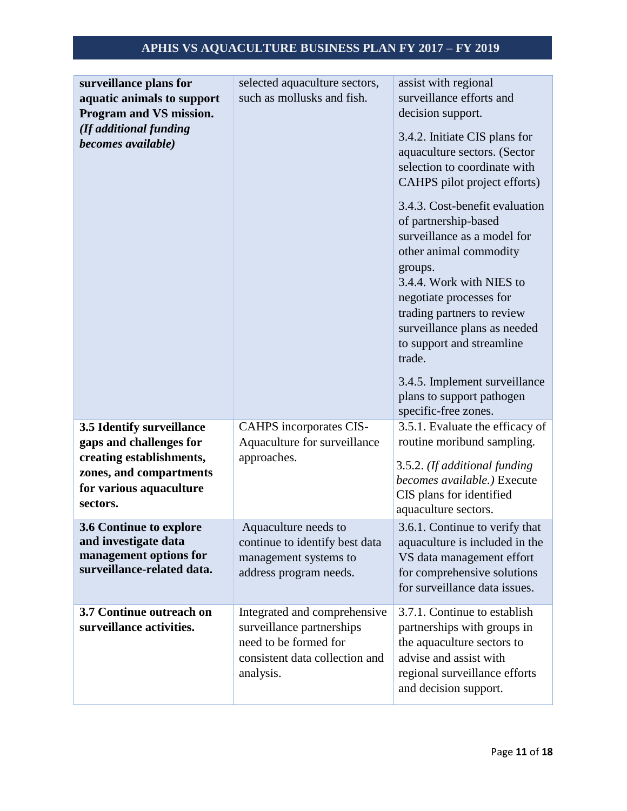| surveillance plans for<br>aquatic animals to support<br>Program and VS mission.<br>(If additional funding<br>becomes available)                    | selected aquaculture sectors,<br>such as mollusks and fish.                                                                       | assist with regional<br>surveillance efforts and<br>decision support.<br>3.4.2. Initiate CIS plans for<br>aquaculture sectors. (Sector<br>selection to coordinate with<br>CAHPS pilot project efforts)                                                                                                                                                                       |
|----------------------------------------------------------------------------------------------------------------------------------------------------|-----------------------------------------------------------------------------------------------------------------------------------|------------------------------------------------------------------------------------------------------------------------------------------------------------------------------------------------------------------------------------------------------------------------------------------------------------------------------------------------------------------------------|
|                                                                                                                                                    |                                                                                                                                   | 3.4.3. Cost-benefit evaluation<br>of partnership-based<br>surveillance as a model for<br>other animal commodity<br>groups.<br>3.4.4. Work with NIES to<br>negotiate processes for<br>trading partners to review<br>surveillance plans as needed<br>to support and streamline<br>trade.<br>3.4.5. Implement surveillance<br>plans to support pathogen<br>specific-free zones. |
| 3.5 Identify surveillance<br>gaps and challenges for<br>creating establishments,<br>zones, and compartments<br>for various aquaculture<br>sectors. | CAHPS incorporates CIS-<br>Aquaculture for surveillance<br>approaches.                                                            | 3.5.1. Evaluate the efficacy of<br>routine moribund sampling.<br>3.5.2. (If additional funding<br>becomes available.) Execute<br>CIS plans for identified<br>aquaculture sectors.                                                                                                                                                                                            |
| 3.6 Continue to explore<br>and investigate data<br>management options for<br>surveillance-related data.                                            | Aquaculture needs to<br>continue to identify best data<br>management systems to<br>address program needs.                         | 3.6.1. Continue to verify that<br>aquaculture is included in the<br>VS data management effort<br>for comprehensive solutions<br>for surveillance data issues.                                                                                                                                                                                                                |
| 3.7 Continue outreach on<br>surveillance activities.                                                                                               | Integrated and comprehensive<br>surveillance partnerships<br>need to be formed for<br>consistent data collection and<br>analysis. | 3.7.1. Continue to establish<br>partnerships with groups in<br>the aquaculture sectors to<br>advise and assist with<br>regional surveillance efforts<br>and decision support.                                                                                                                                                                                                |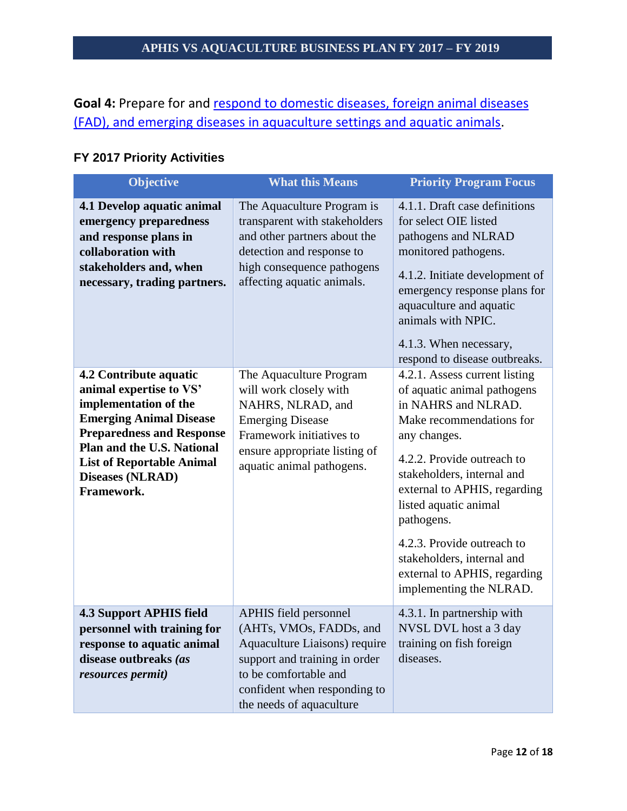<span id="page-11-0"></span>Goal 4: Prepare for and respond to domestic diseases, foreign animal diseases [\(FAD\), and emerging diseases in aquaculture settings and aquatic animals.](#page-3-0)

| FY 2017 Priority Activities |
|-----------------------------|
|-----------------------------|

| <b>Objective</b>                                                                                                                                                                                                                                                   | <b>What this Means</b>                                                                                                                                                                                  | <b>Priority Program Focus</b>                                                                                                                                                                                                                                                                                                                                                             |
|--------------------------------------------------------------------------------------------------------------------------------------------------------------------------------------------------------------------------------------------------------------------|---------------------------------------------------------------------------------------------------------------------------------------------------------------------------------------------------------|-------------------------------------------------------------------------------------------------------------------------------------------------------------------------------------------------------------------------------------------------------------------------------------------------------------------------------------------------------------------------------------------|
| 4.1 Develop aquatic animal<br>emergency preparedness<br>and response plans in<br>collaboration with<br>stakeholders and, when<br>necessary, trading partners.                                                                                                      | The Aquaculture Program is<br>transparent with stakeholders<br>and other partners about the<br>detection and response to<br>high consequence pathogens<br>affecting aquatic animals.                    | 4.1.1. Draft case definitions<br>for select OIE listed<br>pathogens and NLRAD<br>monitored pathogens.<br>4.1.2. Initiate development of<br>emergency response plans for<br>aquaculture and aquatic<br>animals with NPIC.<br>4.1.3. When necessary,<br>respond to disease outbreaks.                                                                                                       |
| 4.2 Contribute aquatic<br>animal expertise to VS'<br>implementation of the<br><b>Emerging Animal Disease</b><br><b>Preparedness and Response</b><br><b>Plan and the U.S. National</b><br><b>List of Reportable Animal</b><br><b>Diseases (NLRAD)</b><br>Framework. | The Aquaculture Program<br>will work closely with<br>NAHRS, NLRAD, and<br><b>Emerging Disease</b><br>Framework initiatives to<br>ensure appropriate listing of<br>aquatic animal pathogens.             | 4.2.1. Assess current listing<br>of aquatic animal pathogens<br>in NAHRS and NLRAD.<br>Make recommendations for<br>any changes.<br>4.2.2. Provide outreach to<br>stakeholders, internal and<br>external to APHIS, regarding<br>listed aquatic animal<br>pathogens.<br>4.2.3. Provide outreach to<br>stakeholders, internal and<br>external to APHIS, regarding<br>implementing the NLRAD. |
| <b>4.3 Support APHIS field</b><br>personnel with training for<br>response to aquatic animal<br>disease outbreaks (as<br>resources permit)                                                                                                                          | APHIS field personnel<br>(AHTs, VMOs, FADDs, and<br>Aquaculture Liaisons) require<br>support and training in order<br>to be comfortable and<br>confident when responding to<br>the needs of aquaculture | 4.3.1. In partnership with<br>NVSL DVL host a 3 day<br>training on fish foreign<br>diseases.                                                                                                                                                                                                                                                                                              |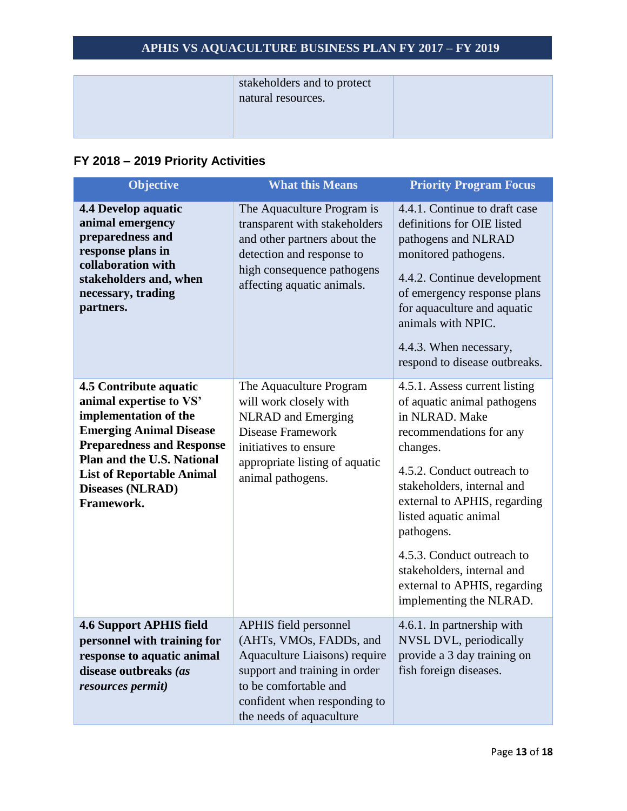| stakeholders and to protect<br>natural resources. |  |
|---------------------------------------------------|--|
|                                                   |  |

# **FY 2018 – 2019 Priority Activities**

| <b>Objective</b>                                                                                                                                                                                                                                                          | <b>What this Means</b>                                                                                                                                                                                  | <b>Priority Program Focus</b>                                                                                                                                                                                                                                                                                                                                                   |
|---------------------------------------------------------------------------------------------------------------------------------------------------------------------------------------------------------------------------------------------------------------------------|---------------------------------------------------------------------------------------------------------------------------------------------------------------------------------------------------------|---------------------------------------------------------------------------------------------------------------------------------------------------------------------------------------------------------------------------------------------------------------------------------------------------------------------------------------------------------------------------------|
| <b>4.4 Develop aquatic</b><br>animal emergency<br>preparedness and<br>response plans in<br>collaboration with<br>stakeholders and, when<br>necessary, trading<br>partners.                                                                                                | The Aquaculture Program is<br>transparent with stakeholders<br>and other partners about the<br>detection and response to<br>high consequence pathogens<br>affecting aquatic animals.                    | 4.4.1. Continue to draft case<br>definitions for OIE listed<br>pathogens and NLRAD<br>monitored pathogens.<br>4.4.2. Continue development<br>of emergency response plans<br>for aquaculture and aquatic<br>animals with NPIC.<br>4.4.3. When necessary,<br>respond to disease outbreaks.                                                                                        |
| <b>4.5 Contribute aquatic</b><br>animal expertise to VS'<br>implementation of the<br><b>Emerging Animal Disease</b><br><b>Preparedness and Response</b><br><b>Plan and the U.S. National</b><br><b>List of Reportable Animal</b><br><b>Diseases (NLRAD)</b><br>Framework. | The Aquaculture Program<br>will work closely with<br><b>NLRAD</b> and Emerging<br><b>Disease Framework</b><br>initiatives to ensure<br>appropriate listing of aquatic<br>animal pathogens.              | 4.5.1. Assess current listing<br>of aquatic animal pathogens<br>in NLRAD. Make<br>recommendations for any<br>changes.<br>4.5.2. Conduct outreach to<br>stakeholders, internal and<br>external to APHIS, regarding<br>listed aquatic animal<br>pathogens.<br>4.5.3. Conduct outreach to<br>stakeholders, internal and<br>external to APHIS, regarding<br>implementing the NLRAD. |
| <b>4.6 Support APHIS field</b><br>personnel with training for<br>response to aquatic animal<br>disease outbreaks (as<br>resources permit)                                                                                                                                 | APHIS field personnel<br>(AHTs, VMOs, FADDs, and<br>Aquaculture Liaisons) require<br>support and training in order<br>to be comfortable and<br>confident when responding to<br>the needs of aquaculture | 4.6.1. In partnership with<br>NVSL DVL, periodically<br>provide a 3 day training on<br>fish foreign diseases.                                                                                                                                                                                                                                                                   |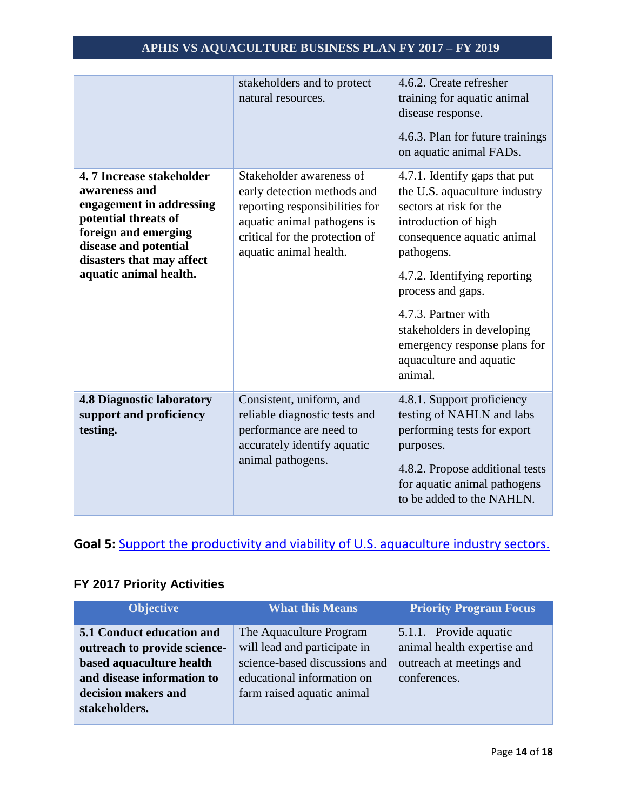|                                                                                                                                                                                                       | stakeholders and to protect<br>natural resources.                                                                                                                                    | 4.6.2. Create refresher<br>training for aquatic animal<br>disease response.<br>4.6.3. Plan for future trainings<br>on aquatic animal FADs.                                                                                                                                                                                                    |
|-------------------------------------------------------------------------------------------------------------------------------------------------------------------------------------------------------|--------------------------------------------------------------------------------------------------------------------------------------------------------------------------------------|-----------------------------------------------------------------------------------------------------------------------------------------------------------------------------------------------------------------------------------------------------------------------------------------------------------------------------------------------|
| 4.7 Increase stakeholder<br>awareness and<br>engagement in addressing<br>potential threats of<br>foreign and emerging<br>disease and potential<br>disasters that may affect<br>aquatic animal health. | Stakeholder awareness of<br>early detection methods and<br>reporting responsibilities for<br>aquatic animal pathogens is<br>critical for the protection of<br>aquatic animal health. | 4.7.1. Identify gaps that put<br>the U.S. aquaculture industry<br>sectors at risk for the<br>introduction of high<br>consequence aquatic animal<br>pathogens.<br>4.7.2. Identifying reporting<br>process and gaps.<br>4.7.3. Partner with<br>stakeholders in developing<br>emergency response plans for<br>aquaculture and aquatic<br>animal. |
| <b>4.8 Diagnostic laboratory</b><br>support and proficiency<br>testing.                                                                                                                               | Consistent, uniform, and<br>reliable diagnostic tests and<br>performance are need to<br>accurately identify aquatic<br>animal pathogens.                                             | 4.8.1. Support proficiency<br>testing of NAHLN and labs<br>performing tests for export<br>purposes.<br>4.8.2. Propose additional tests<br>for aquatic animal pathogens<br>to be added to the NAHLN.                                                                                                                                           |

# <span id="page-13-0"></span>Goal 5: **[Support the productivity and viability of U.S. aquaculture industry sectors.](#page-4-0)**

## **FY 2017 Priority Activities**

| <b>What this Means</b>        | <b>Priority Program Focus</b> |
|-------------------------------|-------------------------------|
| The Aquaculture Program       | 5.1.1. Provide aquatic        |
| will lead and participate in  | animal health expertise and   |
| science-based discussions and | outreach at meetings and      |
| educational information on    | conferences.                  |
| farm raised aquatic animal    |                               |
|                               |                               |
|                               |                               |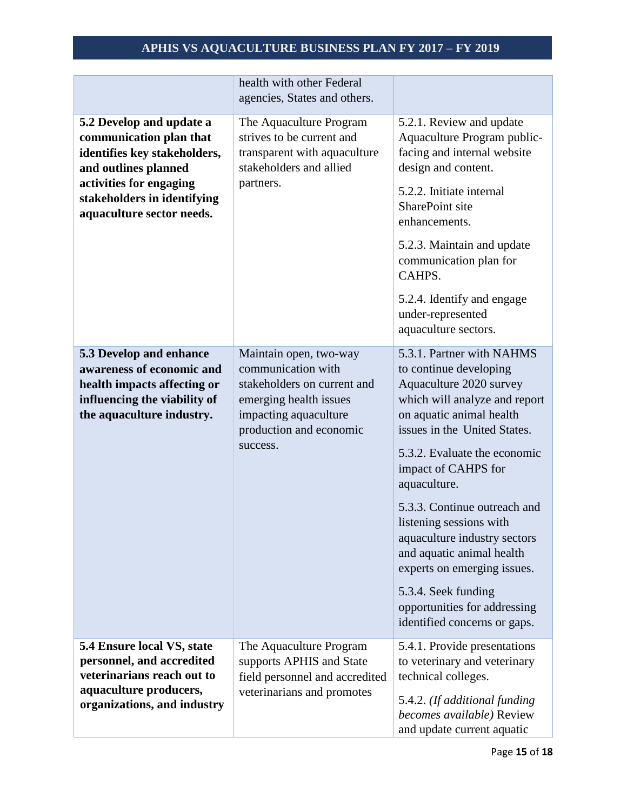|                                                                                                                                                                                                    | health with other Federal<br>agencies, States and others.                                                                                                             |                                                                                                                                                                                                                                                                                                                                                                                                                                                                                                  |
|----------------------------------------------------------------------------------------------------------------------------------------------------------------------------------------------------|-----------------------------------------------------------------------------------------------------------------------------------------------------------------------|--------------------------------------------------------------------------------------------------------------------------------------------------------------------------------------------------------------------------------------------------------------------------------------------------------------------------------------------------------------------------------------------------------------------------------------------------------------------------------------------------|
| 5.2 Develop and update a<br>communication plan that<br>identifies key stakeholders,<br>and outlines planned<br>activities for engaging<br>stakeholders in identifying<br>aquaculture sector needs. | The Aquaculture Program<br>strives to be current and<br>transparent with aquaculture<br>stakeholders and allied<br>partners.                                          | 5.2.1. Review and update<br>Aquaculture Program public-<br>facing and internal website<br>design and content.<br>5.2.2. Initiate internal<br>SharePoint site<br>enhancements.<br>5.2.3. Maintain and update<br>communication plan for<br>CAHPS.<br>5.2.4. Identify and engage<br>under-represented                                                                                                                                                                                               |
|                                                                                                                                                                                                    |                                                                                                                                                                       | aquaculture sectors.                                                                                                                                                                                                                                                                                                                                                                                                                                                                             |
| 5.3 Develop and enhance<br>awareness of economic and<br>health impacts affecting or<br>influencing the viability of<br>the aquaculture industry.                                                   | Maintain open, two-way<br>communication with<br>stakeholders on current and<br>emerging health issues<br>impacting aquaculture<br>production and economic<br>success. | 5.3.1. Partner with NAHMS<br>to continue developing<br>Aquaculture 2020 survey<br>which will analyze and report<br>on aquatic animal health<br>issues in the United States.<br>5.3.2. Evaluate the economic<br>impact of CAHPS for<br>aquaculture.<br>5.3.3. Continue outreach and<br>listening sessions with<br>aquaculture industry sectors<br>and aquatic animal health<br>experts on emerging issues.<br>5.3.4. Seek funding<br>opportunities for addressing<br>identified concerns or gaps. |
| 5.4 Ensure local VS, state<br>personnel, and accredited<br>veterinarians reach out to<br>aquaculture producers,<br>organizations, and industry                                                     | The Aquaculture Program<br>supports APHIS and State<br>field personnel and accredited<br>veterinarians and promotes                                                   | 5.4.1. Provide presentations<br>to veterinary and veterinary<br>technical colleges.<br>5.4.2. (If additional funding<br>becomes available) Review<br>and update current aquatic                                                                                                                                                                                                                                                                                                                  |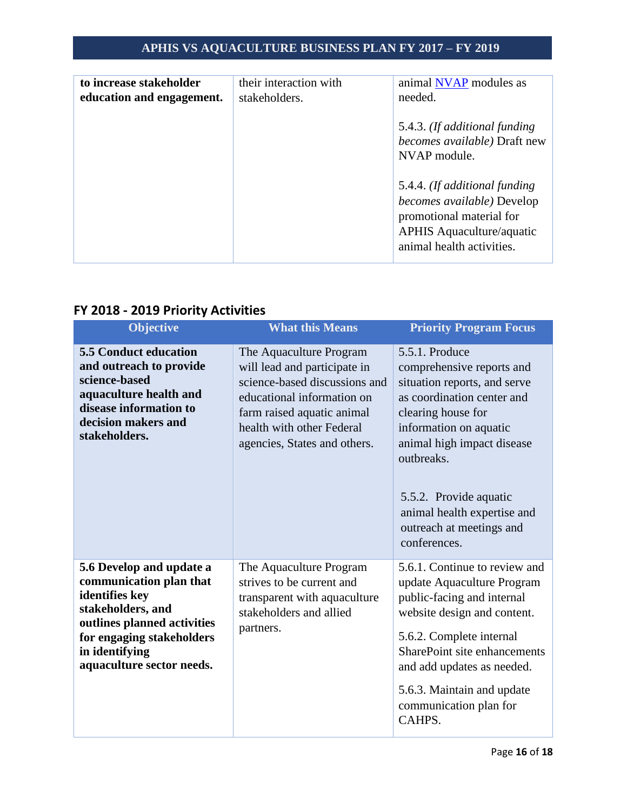| to increase stakeholder<br>education and engagement. | their interaction with<br>stakeholders. | animal NVAP modules as<br>needed.                                                                                                                        |
|------------------------------------------------------|-----------------------------------------|----------------------------------------------------------------------------------------------------------------------------------------------------------|
|                                                      |                                         | 5.4.3. (If additional funding<br>becomes available) Draft new<br>NVAP module.                                                                            |
|                                                      |                                         | 5.4.4. (If additional funding<br>becomes available) Develop<br>promotional material for<br><b>APHIS Aquaculture/aquatic</b><br>animal health activities. |

## **FY 2018 - 2019 Priority Activities**

| Objective                                                                                                                                                                                             | <b>What this Means</b>                                                                                                                                                                                            | <b>Priority Program Focus</b>                                                                                                                                                                                                                                                                              |
|-------------------------------------------------------------------------------------------------------------------------------------------------------------------------------------------------------|-------------------------------------------------------------------------------------------------------------------------------------------------------------------------------------------------------------------|------------------------------------------------------------------------------------------------------------------------------------------------------------------------------------------------------------------------------------------------------------------------------------------------------------|
| <b>5.5 Conduct education</b><br>and outreach to provide<br>science-based<br>aquaculture health and<br>disease information to<br>decision makers and<br>stakeholders.                                  | The Aquaculture Program<br>will lead and participate in<br>science-based discussions and<br>educational information on<br>farm raised aquatic animal<br>health with other Federal<br>agencies, States and others. | 5.5.1. Produce<br>comprehensive reports and<br>situation reports, and serve<br>as coordination center and<br>clearing house for<br>information on aquatic<br>animal high impact disease<br>outbreaks.<br>5.5.2. Provide aquatic<br>animal health expertise and<br>outreach at meetings and<br>conferences. |
| 5.6 Develop and update a<br>communication plan that<br>identifies key<br>stakeholders, and<br>outlines planned activities<br>for engaging stakeholders<br>in identifying<br>aquaculture sector needs. | The Aquaculture Program<br>strives to be current and<br>transparent with aquaculture<br>stakeholders and allied<br>partners.                                                                                      | 5.6.1. Continue to review and<br>update Aquaculture Program<br>public-facing and internal<br>website design and content.<br>5.6.2. Complete internal<br><b>SharePoint site enhancements</b><br>and add updates as needed.<br>5.6.3. Maintain and update<br>communication plan for<br>CAHPS.                |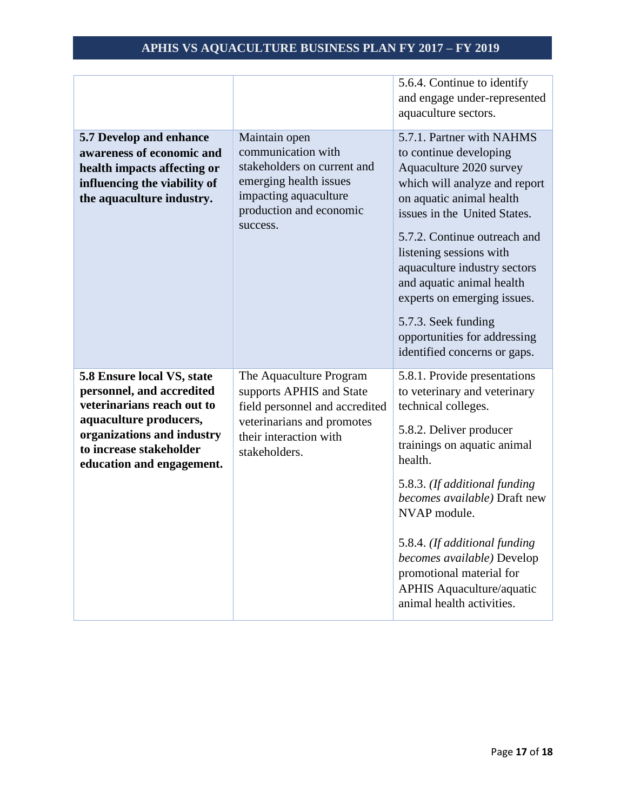|                              |                                | 5.6.4. Continue to identify   |
|------------------------------|--------------------------------|-------------------------------|
|                              |                                | and engage under-represented  |
|                              |                                | aquaculture sectors.          |
| 5.7 Develop and enhance      | Maintain open                  | 5.7.1. Partner with NAHMS     |
| awareness of economic and    | communication with             | to continue developing        |
|                              | stakeholders on current and    | Aquaculture 2020 survey       |
| health impacts affecting or  | emerging health issues         |                               |
| influencing the viability of | impacting aquaculture          | which will analyze and report |
| the aquaculture industry.    | production and economic        | on aquatic animal health      |
|                              | success.                       | issues in the United States.  |
|                              |                                | 5.7.2. Continue outreach and  |
|                              |                                | listening sessions with       |
|                              |                                | aquaculture industry sectors  |
|                              |                                | and aquatic animal health     |
|                              |                                | experts on emerging issues.   |
|                              |                                |                               |
|                              |                                | 5.7.3. Seek funding           |
|                              |                                | opportunities for addressing  |
|                              |                                | identified concerns or gaps.  |
| 5.8 Ensure local VS, state   | The Aquaculture Program        | 5.8.1. Provide presentations  |
| personnel, and accredited    | supports APHIS and State       | to veterinary and veterinary  |
| veterinarians reach out to   | field personnel and accredited | technical colleges.           |
| aquaculture producers,       | veterinarians and promotes     |                               |
| organizations and industry   | their interaction with         | 5.8.2. Deliver producer       |
| to increase stakeholder      | stakeholders.                  | trainings on aquatic animal   |
| education and engagement.    |                                | health.                       |
|                              |                                | 5.8.3. (If additional funding |
|                              |                                | becomes available) Draft new  |
|                              |                                | NVAP module.                  |
|                              |                                |                               |
|                              |                                | 5.8.4. (If additional funding |
|                              |                                | becomes available) Develop    |
|                              |                                | promotional material for      |
|                              |                                | APHIS Aquaculture/aquatic     |
|                              |                                | animal health activities.     |